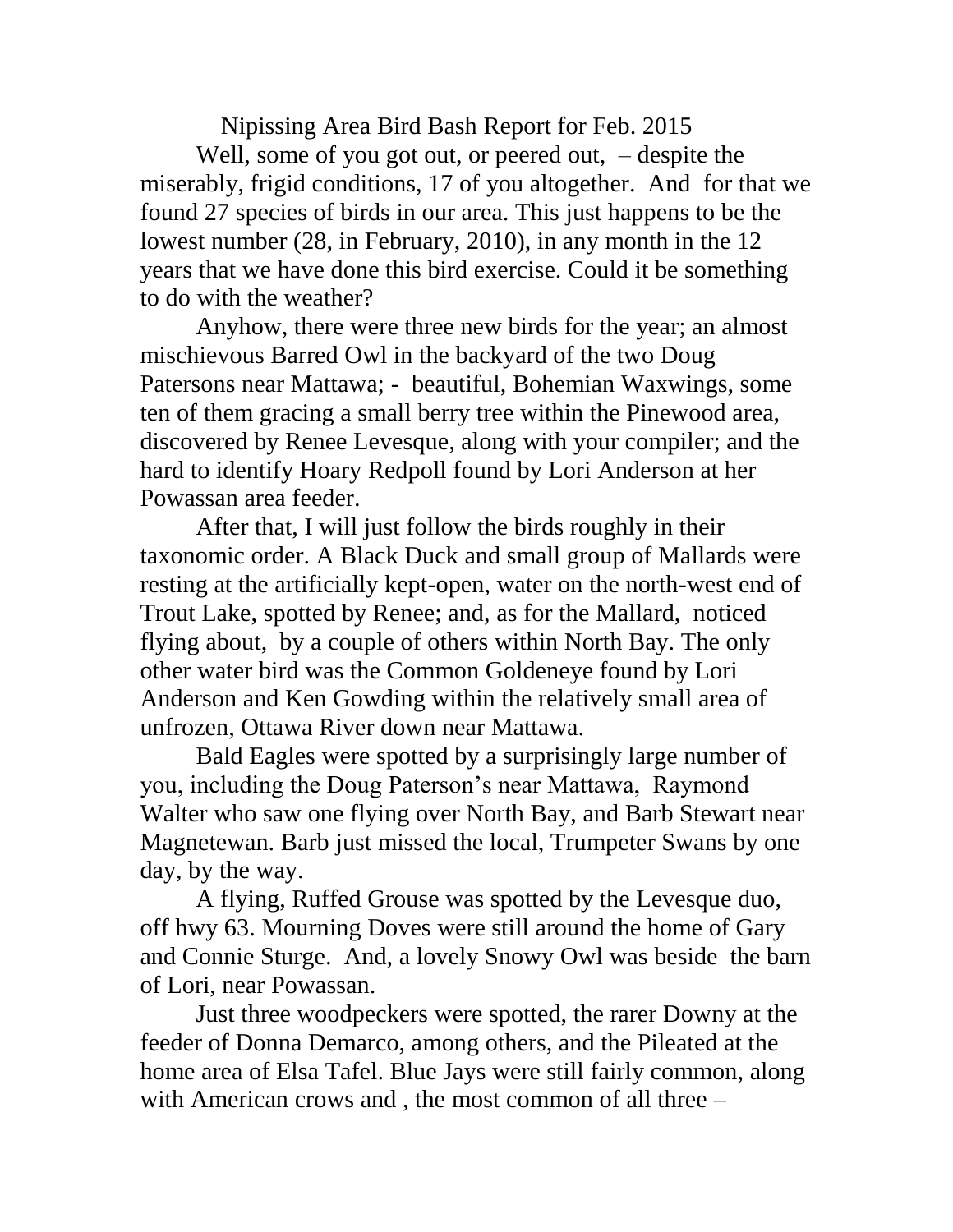Nipissing Area Bird Bash Report for Feb. 2015

Well, some of you got out, or peered out, – despite the miserably, frigid conditions, 17 of you altogether. And for that we found 27 species of birds in our area. This just happens to be the lowest number (28, in February, 2010), in any month in the 12 years that we have done this bird exercise. Could it be something to do with the weather?

Anyhow, there were three new birds for the year; an almost mischievous Barred Owl in the backyard of the two Doug Patersons near Mattawa; - beautiful, Bohemian Waxwings, some ten of them gracing a small berry tree within the Pinewood area, discovered by Renee Levesque, along with your compiler; and the hard to identify Hoary Redpoll found by Lori Anderson at her Powassan area feeder.

After that, I will just follow the birds roughly in their taxonomic order. A Black Duck and small group of Mallards were resting at the artificially kept-open, water on the north-west end of Trout Lake, spotted by Renee; and, as for the Mallard, noticed flying about, by a couple of others within North Bay. The only other water bird was the Common Goldeneye found by Lori Anderson and Ken Gowding within the relatively small area of unfrozen, Ottawa River down near Mattawa.

Bald Eagles were spotted by a surprisingly large number of you, including the Doug Paterson's near Mattawa, Raymond Walter who saw one flying over North Bay, and Barb Stewart near Magnetewan. Barb just missed the local, Trumpeter Swans by one day, by the way.

A flying, Ruffed Grouse was spotted by the Levesque duo, off hwy 63. Mourning Doves were still around the home of Gary and Connie Sturge. And, a lovely Snowy Owl was beside the barn of Lori, near Powassan.

Just three woodpeckers were spotted, the rarer Downy at the feeder of Donna Demarco, among others, and the Pileated at the home area of Elsa Tafel. Blue Jays were still fairly common, along with American crows and , the most common of all three –